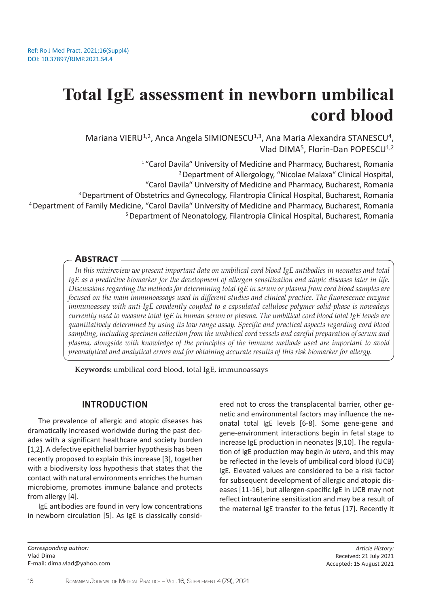# **Total IgE assessment in newborn umbilical cord blood**

Mariana VIERU<sup>1,2</sup>, Anca Angela SIMIONESCU<sup>1,3</sup>, Ana Maria Alexandra STANESCU<sup>4</sup>, Vlad DIMA<sup>5</sup>, Florin-Dan POPESCU<sup>1,2</sup>

<sup>1</sup> "Carol Davila" University of Medicine and Pharmacy, Bucharest, Romania 2 Department of Allergology, "Nicolae Malaxa" Clinical Hospital, "Carol Davila" University of Medicine and Pharmacy, Bucharest, Romania 3 Department of Obstetrics and Gynecology, Filantropia Clinical Hospital, Bucharest, Romania 4 Department of Family Medicine, "Carol Davila" University of Medicine and Pharmacy, Bucharest, Romania 5 Department of Neonatology, Filantropia Clinical Hospital, Bucharest, Romania

## **Abstract**

*In this minireview we present important data on umbilical cord blood IgE antibodies in neonates and total IgE as a predictive biomarker for the development of allergen sensitization and atopic diseases later in life. Discussions regarding the methods for determining total IgE in serum or plasma from cord blood samples are focused on the main immunoassays used in different studies and clinical practice. The fluorescence enzyme immunoassay with anti-IgE covalently coupled to a capsulated cellulose polymer solid-phase is nowadays currently used to measure total IgE in human serum or plasma. The umbilical cord blood total IgE levels are quantitatively determined by using its low range assay. Specific and practical aspects regarding cord blood sampling, including specimen collection from the umbilical cord vessels and careful preparation of serum and plasma, alongside with knowledge of the principles of the immune methods used are important to avoid preanalytical and analytical errors and for obtaining accurate results of this risk biomarker for allergy.*

**Keywords:** umbilical cord blood, total IgE, immunoassays

## **INTRODUCTION**

The prevalence of allergic and atopic diseases has dramatically increased worldwide during the past decades with a significant healthcare and society burden [1,2]. A defective epithelial barrier hypothesis has been recently proposed to explain this increase [3], together with a biodiversity loss hypothesis that states that the contact with natural environments enriches the human microbiome, promotes immune balance and protects from allergy [4].

IgE antibodies are found in very low concentrations in newborn circulation [5]. As IgE is classically considered not to cross the transplacental barrier, other genetic and environmental factors may influence the neonatal total IgE levels [6-8]. Some gene-gene and gene-environment interactions begin in fetal stage to increase IgE production in neonates [9,10]. The regulation of IgE production may begin *in utero*, and this may be reflected in the levels of umbilical cord blood (UCB) IgE. Elevated values are considered to be a risk factor for subsequent development of allergic and atopic diseases [11-16], but allergen-specific IgE in UCB may not reflect intrauterine sensitization and may be a result of the maternal IgE transfer to the fetus [17]. Recently it

*Article History:* Received: 21 July 2021 Accepted: 15 August 2021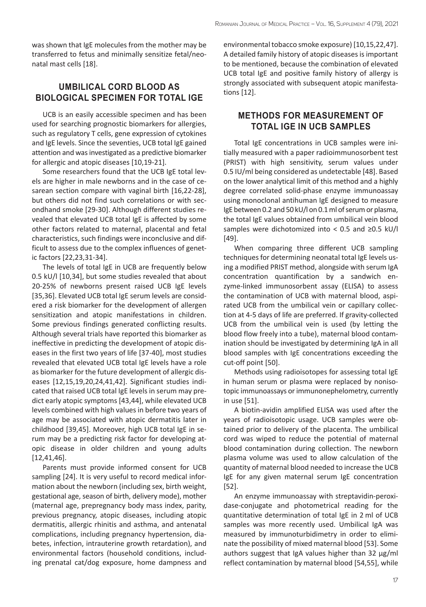was shown that IgE molecules from the mother may be transferred to fetus and minimally sensitize fetal/neonatal mast cells [18].

# **UMBILICAL CORD BLOOD AS BIOLOGICAL SPECIMEN FOR TOTAL IGE**

UCB is an easily accessible specimen and has been used for searching prognostic biomarkers for allergies, such as regulatory T cells, gene expression of cytokines and IgE levels. Since the seventies, UCB total IgE gained attention and was investigated as a predictive biomarker for allergic and atopic diseases [10,19-21].

Some researchers found that the UCB IgE total levels are higher in male newborns and in the case of cesarean section compare with vaginal birth [16,22-28], but others did not find such correlations or with secondhand smoke [29-30]. Although different studies revealed that elevated UCB total IgE is affected by some other factors related to maternal, placental and fetal characteristics, such findings were inconclusive and difficult to assess due to the complex influences of genetic factors [22,23,31-34].

The levels of total IgE in UCB are frequently below 0.5 kU/l [10,34], but some studies revealed that about 20-25% of newborns present raised UCB IgE levels [35,36]. Elevated UCB total IgE serum levels are considered a risk biomarker for the development of allergen sensitization and atopic manifestations in children. Some previous findings generated conflicting results. Although several trials have reported this biomarker as ineffective in predicting the development of atopic diseases in the first two years of life [37-40], most studies revealed that elevated UCB total IgE levels have a role as biomarker for the future development of allergic diseases [12,15,19,20,24,41,42]. Significant studies indicated that raised UCB total IgE levels in serum may predict early atopic symptoms [43,44], while elevated UCB levels combined with high values in before two years of age may be associated with atopic dermatitis later in childhood [39,45]. Moreover, high UCB total IgE in serum may be a predicting risk factor for developing atopic disease in older children and young adults [12,41,46].

Parents must provide informed consent for UCB sampling [24]. It is very useful to record medical information about the newborn (including sex, birth weight, gestational age, season of birth, delivery mode), mother (maternal age, prepregnancy body mass index, parity, previous pregnancy, atopic diseases, including atopic dermatitis, allergic rhinitis and asthma, and antenatal complications, including pregnancy hypertension, diabetes, infection, intrauterine growth retardation), and environmental factors (household conditions, including prenatal cat/dog exposure, home dampness and

environmental tobacco smoke exposure) [10,15,22,47]. A detailed family history of atopic diseases is important to be mentioned, because the combination of elevated UCB total IgE and positive family history of allergy is strongly associated with subsequent atopic manifestations [12].

## **METHODS FOR MEASUREMENT OF TOTAL IGE IN UCB SAMPLES**

Total IgE concentrations in UCB samples were initially measured with a paper radioimmunosorbent test (PRIST) with high sensitivity, serum values under 0.5 IU/ml being considered as undetectable [48]. Based on the lower analytical limit of this method and a highly degree correlated solid-phase enzyme immunoassay using monoclonal antihuman IgE designed to measure IgE between 0.2 and 50 kU/l on 0.1 ml of serum or plasma, the total IgE values obtained from umbilical vein blood samples were dichotomized into < 0.5 and ≥0.5 kU/l [49].

When comparing three different UCB sampling techniques for determining neonatal total IgE levels using a modified PRIST method, alongside with serum IgA concentration quantification by a sandwich enzyme-linked immunosorbent assay (ELISA) to assess the contamination of UCB with maternal blood, aspirated UCB from the umbilical vein or capillary collection at 4-5 days of life are preferred. If gravity-collected UCB from the umbilical vein is used (by letting the blood flow freely into a tube), maternal blood contamination should be investigated by determining IgA in all blood samples with IgE concentrations exceeding the cut-off point [50].

Methods using radioisotopes for assessing total IgE in human serum or plasma were replaced by nonisotopic immunoassays or immunonephelometry, currently in use [51].

A biotin-avidin amplified ELISA was used after the years of radioisotopic usage. UCB samples were obtained prior to delivery of the placenta. The umbilical cord was wiped to reduce the potential of maternal blood contamination during collection. The newborn plasma volume was used to allow calculation of the quantity of maternal blood needed to increase the UCB IgE for any given maternal serum IgE concentration [52].

An enzyme immunoassay with streptavidin-peroxidase-conjugate and photometrical reading for the quantitative determination of total IgE in 2 ml of UCB samples was more recently used. Umbilical IgA was measured by immunoturbidimetry in order to eliminate the possibility of mixed maternal blood [53]. Some authors suggest that IgA values higher than 32 μg/ml reflect contamination by maternal blood [54,55], while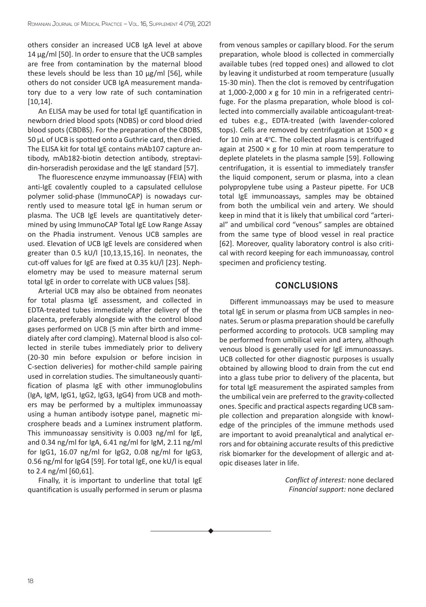others consider an increased UCB IgA level at above 14 μg/ml [50]. In order to ensure that the UCB samples are free from contamination by the maternal blood these levels should be less than 10 μg/ml [56], while others do not consider UCB IgA measurement mandatory due to a very low rate of such contamination [10,14].

An ELISA may be used for total IgE quantification in newborn dried blood spots (NDBS) or cord blood dried blood spots (CBDBS). For the preparation of the CBDBS, 50 μL of UCB is spotted onto a Guthrie card, then dried. The ELISA kit for total IgE contains mAb107 capture antibody, mAb182-biotin detection antibody, streptavidin-horseradish peroxidase and the IgE standard [57].

The fluorescence enzyme immunoassay (FEIA) with anti-IgE covalently coupled to a capsulated cellulose polymer solid-phase (ImmunoCAP) is nowadays currently used to measure total IgE in human serum or plasma. The UCB IgE levels are quantitatively determined by using ImmunoCAP Total IgE Low Range Assay on the Phadia instrument. Venous UCB samples are used. Elevation of UCB IgE levels are considered when greater than 0.5 kU/l [10,13,15,16]. In neonates, the cut-off values for IgE are fixed at 0.35 kU/l [23]. Nephelometry may be used to measure maternal serum total IgE in order to correlate with UCB values [58].

Arterial UCB may also be obtained from neonates for total plasma IgE assessment, and collected in EDTA-treated tubes immediately after delivery of the placenta, preferably alongside with the control blood gases performed on UCB (5 min after birth and immediately after cord clamping). Maternal blood is also collected in sterile tubes immediately prior to delivery (20-30 min before expulsion or before incision in C-section deliveries) for mother-child sample pairing used in correlation studies. The simultaneously quantification of plasma IgE with other immunoglobulins (IgA, IgM, IgG1, IgG2, IgG3, IgG4) from UCB and mothers may be performed by a multiplex immunoassay using a human antibody isotype panel, magnetic microsphere beads and a Luminex instrument platform. This immunoassay sensitivity is 0.003 ng/ml for IgE, and 0.34 ng/ml for IgA, 6.41 ng/ml for IgM, 2.11 ng/ml for IgG1, 16.07 ng/ml for IgG2, 0.08 ng/ml for IgG3, 0.56 ng/ml for IgG4 [59]. For total IgE, one kU/l is equal to 2.4 ng/ml [60,61].

Finally, it is important to underline that total IgE quantification is usually performed in serum or plasma from venous samples or capillary blood. For the serum preparation, whole blood is collected in commercially available tubes (red topped ones) and allowed to clot by leaving it undisturbed at room temperature (usually 15-30 min). Then the clot is removed by centrifugation at 1,000-2,000 *x* g for 10 min in a refrigerated centrifuge. For the plasma preparation, whole blood is collected into commercially available anticoagulant-treated tubes e.g., EDTA-treated (with lavender-colored tops). Cells are removed by centrifugation at  $1500 \times g$ for 10 min at 4°C. The collected plasma is centrifuged again at 2500  $\times$  g for 10 min at room temperature to deplete platelets in the plasma sample [59]. Following centrifugation, it is essential to immediately transfer the liquid component, serum or plasma, into a clean polypropylene tube using a Pasteur pipette. For UCB total IgE immunoassays, samples may be obtained from both the umbilical vein and artery. We should keep in mind that it is likely that umbilical cord "arterial" and umbilical cord "venous" samples are obtained from the same type of blood vessel in real practice [62]. Moreover, quality laboratory control is also critical with record keeping for each immunoassay, control specimen and proficiency testing.

## **CONCLUSIONS**

Different immunoassays may be used to measure total IgE in serum or plasma from UCB samples in neonates. Serum or plasma preparation should be carefully performed according to protocols. UCB sampling may be performed from umbilical vein and artery, although venous blood is generally used for IgE immunoassays. UCB collected for other diagnostic purposes is usually obtained by allowing blood to drain from the cut end into a glass tube prior to delivery of the placenta, but for total IgE measurement the aspirated samples from the umbilical vein are preferred to the gravity-collected ones. Specific and practical aspects regarding UCB sample collection and preparation alongside with knowledge of the principles of the immune methods used are important to avoid preanalytical and analytical errors and for obtaining accurate results of this predictive risk biomarker for the development of allergic and atopic diseases later in life.

> *Conflict of interest:* none declared *Financial support:* none declared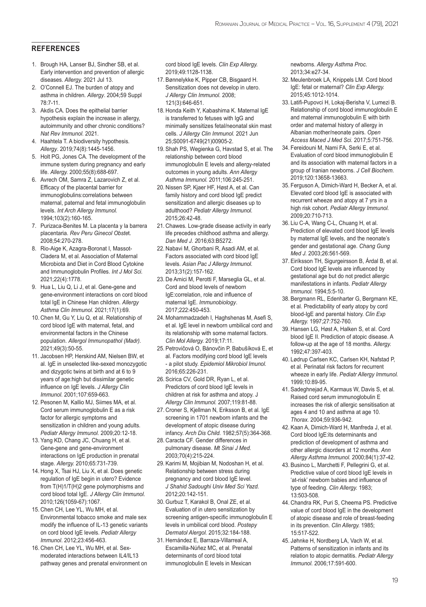#### **REFERENCES**

- 1. Brough HA, Lanser BJ, Sindher SB, et al. Early intervention and prevention of allergic diseases. *Allergy.* 2021 Jul 13.
- 2. O'Connell EJ. The burden of atopy and asthma in children. *Allergy*. 2004;59 Suppl 78:7-11.
- 3. Akdis CA. Does the epithelial barrier hypothesis explain the increase in allergy, autoimmunity and other chronic conditions? *Nat Rev Immunol.* 2021.
- 4. Haahtela T. A biodiversity hypothesis. *Allergy*. 2019;74(8):1445-1456.
- 5. Holt PG, Jones CA. The development of the immune system during pregnancy and early life. *Allergy.* 2000;55(8):688-697.
- 6. Avrech OM, Samra Z, Lazarovich Z, et al. Efficacy of the placental barrier for immunoglobulins:correlations between maternal, paternal and fetal immunoglobulin levels. *Int Arch Allergy Immunol.*  1994;103(2):160-165.
- 7. Purizaca-Benites M. La placenta y la barrera placentaria. *Rev Peru Ginecol Obste*t. 2008;54:270-278.
- 8. Rio-Aige K, Azagra-Boronat I, Massot-Cladera M, et al. Association of Maternal Microbiota and Diet in Cord Blood Cytokine and Immunoglobulin Profiles. *Int J Mol Sci.* 2021;22(4):1778.
- 9. Hua L, Liu Q, Li J, et al. Gene-gene and gene-environment interactions on cord blood total IgE in Chinese Han children. *Allergy Asthma Clin Immunol.* 2021;17(1):69.
- 10. Chen M, Gu Y, Liu Q, et al. Relationship of cord blood IgE with maternal, fetal, and environmental factors in the Chinese population. *Allergol Immunopathol (Madr).*  2021;49(3):50-55.
- 11. Jacobsen HP, Herskind AM, Nielsen BW, et al. IgE in unselected like-sexed monozygotic and dizygotic twins at birth and at 6 to 9 years of age:high but dissimilar genetic influence on IgE levels. *J Allergy Clin Immunol.* 2001;107:659-663.
- 12. Pesonen M, Kallio MJ, Siimes MA, et al. Cord serum immunoglobulin E as a risk factor for allergic symptoms and sensitization in children and young adults. *Pediatr Allergy Immunol.* 2009;20:12-18.
- 13. Yang KD, Chang JC, Chuang H, et al. Gene-gene and gene-environment interactions on IgE production in prenatal stage. *Allergy.* 2010;65:731-739.
- 14. Hong X, Tsai HJ, Liu X, et al. Does genetic regulation of IgE begin in utero? Evidence from T(H)1/T(H)2 gene polymorphisms and cord blood total IgE. *J Allergy Clin Immunol.*  2010;126(1059-67):1067.
- 15. Chen CH, Lee YL, Wu MH, et al. Environmental tobacco smoke and male sex modify the influence of IL-13 genetic variants on cord blood IgE levels. *Pediatr Allergy Immunol*. 2012;23:456-463.
- 16. Chen CH, Lee YL, Wu MH, et al. Sexmoderated interactions between IL4/IL13 pathway genes and prenatal environment on

cord blood IgE levels. *Clin Exp Allergy.*  2019;49:1128-1138.

- 17. Bønnelykke K, Pipper CB, Bisgaard H. Sensitization does not develop in utero. *J Allergy Clin Immunol.* 2008; 121(3):646-651.
- 18. Honda Keith Y, Kabashima K. Maternal IgE is transferred to fetuses with IgG and minimally sensitizes fetal/neonatal skin mast cells. *J Allergy Clin Immunol.* 2021 Jun 25;S0091-6749(21)00905-2.
- 19. Shah PS, Wegienka G, Havstad S, et al. The relationship between cord blood immunoglobulin E levels and allergy-related outcomes in young adults. *Ann Allergy Asthma Immunol.* 2011;106:245-251.
- 20. Nissen SP, Kjaer HF, Høst A, et al. Can family history and cord blood IgE predict sensitization and allergic diseases up to adulthood? *Pediatr Allergy Immunol.*  2015;26:42-48.
- 21. Chawes. Low-grade disease activity in early life precedes childhood asthma and allergy. *Dan Med J. 2*016;63:B5272.
- 22. Nabavi M, Ghorbani R, Asadi AM, et al. Factors associated with cord blood IgE levels. *Asian Pac J Allergy Immunol.*  2013;31(2):157-162.
- 23. De Amici M, Perotti F, Marseglia GL, et al. Cord and blood levels of newborn IgE:correlation, role and influence of maternal IgE. *Immunobiology*. 2017;222:450-453.
- 24. Mohammadzadeh I, Haghshenas M, Asefi S, et al. IgE level in newborn umbilical cord and its relationship with some maternal factors. *Clin Mol Allergy.* 2019;17:11.
- 25. Petrovičová O, Bánovčin P, Babušíková E, et al. Factors modifying cord blood IgE levels - a pilot study. *Epidemiol Mikrobiol Imunol.*  2016;65:226-231.
- 26. Scirica CV, Gold DR, Ryan L, et al. Predictors of cord blood IgE levels in children at risk for asthma and atopy. J *Allergy Clin Immunol.* 2007;119:81-88.
- 27. Croner S, Kjellman N, Eriksson B, et al. IgE screening in 1701 newborn infants and the development of atopic disease during infancy. *Arch Dis Child.* 1982;57(5):364-368.
- 28. Caracta CF. Gender differences in pulmonary disease. *Mt Sinai J Med.*  2003;70(4):215-224.
- 29. Karimi M, Mojibian M, Nodoshan H, et al. Relationship between stress during pregnancy and cord blood IgE level. *J Shahid Sadoughi Univ Med Sci Yazd.*  2012;20:142-151.
- 30. Gurbuz T, Karakol B, Onal ZE, et al. Evaluation of in utero sensitization by screening antigen-specific immunoglobulin E levels in umbilical cord blood. *Postepy Dermatol Alergol.* 2015;32:184-188.
- 31. Hernández E, Barraza-Villarreal A, Escamilla-Núñez MC, et al. Prenatal determinants of cord blood total immunoglobulin E levels in Mexican

newborns. *Allergy Asthma Proc.*  2013;34:e27-34.

- 32. Meulenbroek LA, Knippels LM. Cord blood IgE: fetal or maternal? *Clin Exp Allergy.*  2015;45:1012-1014.
- 33. Latifi-Pupovci H, Lokaj-Berisha V, Lumezi B. Relationship of cord blood immunoglobulin E and maternal immunoglobulin E with birth order and maternal history of allergy in Albanian mother/neonate pairs. *Open Access Maced J Med Sci.* 2017;5:751-756.
- 34. Fereidouni M, Nami FA, Serki E, et al. Evaluation of cord blood immunoglobulin E and its association with maternal factors in a group of Iranian newborns. *J Cell Biochem.* 2019;120:13658-13663.
- 35. Ferguson A, Dimich-Ward H, Becker A, et al. Elevated cord blood IgE is associated with recurrent wheeze and atopy at 7 yrs in a high risk cohort. *Pediatr Allergy Immunol.*  2009;20:710-713.
- 36. Liu C-A, Wang C-L, Chuang H, et al. Prediction of elevated cord blood IgE levels by maternal IgE levels, and the neonate's gender and gestational age. *Chang Gung Med J.* 2003;26:561-569.
- 37. Eiríksson TH, Sigurgeirsson B, Árdal B, et al. Cord blood IgE levels are influenced by gestational age but do not predict allergic manifestations in infants. *Pediatr Allergy Immunol.* 1994;5:5-10.
- 38. Bergmann RL, Edenharter G, Bergmann KE, et al. Predictability of early atopy by cord blood-IgE and parental history. *Clin Exp Allergy.* 1997;27:752-760.
- 39. Hansen LG, Høst A, Halken S, et al. Cord blood IgE II. Prediction of atopic disease. A follow-up at the age of 18 months. *Allergy.*  1992;47:397-403.
- 40. Lødrup Carlsen KC, Carlsen KH, Nafstad P, et al. Perinatal risk factors for recurrent wheeze in early life. *Pediatr Allergy Immunol.*  1999;10:89-95.
- 41. Sadeghnejad A, Karmaus W, Davis S, et al. Raised cord serum immunoglobulin E increases the risk of allergic sensitisation at ages 4 and 10 and asthma at age 10. *Thorax.* 2004;59:936-942.
- 42. Kaan A, Dimich-Ward H, Manfreda J, et al. Cord blood IgE:its determinants and prediction of development of asthma and other allergic disorders at 12 months. *Ann Allergy Asthma Immunol.* 2000;84(1):37-42.
- 43. Businco L, Marchetti F, Pellegrini G, et al. Predictive value of cord blood IgE levels in 'at-risk' newborn babies and influence of type of feeding. *Clin Allergy.* 1983; 13:503-508.
- 44. Chandra RK, Puri S, Cheema PS. Predictive value of cord blood IgE in the development of atopic disease and role of breast-feeding in its prevention. *Clin Allergy.* 1985; 15:517-522.
- 45. Jøhnke H, Nordberg LA, Vach W, et al. Patterns of sensitization in infants and its relation to atopic dermatitis. *Pediatr Allergy Immunol.* 2006;17:591-600.